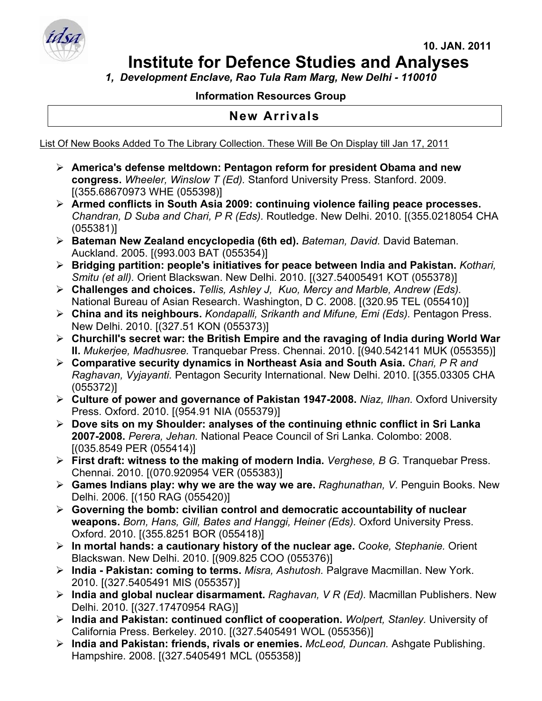

*1, Development Enclave, Rao Tula Ram Marg, New Delhi - 110010* 

## **Information Resources Group**

## **New Arrivals**

List Of New Books Added To The Library Collection. These Will Be On Display till Jan 17, 2011

- ¾ **America's defense meltdown: Pentagon reform for president Obama and new congress.** *Wheeler, Winslow T (Ed).* Stanford University Press. Stanford. 2009. [(355.68670973 WHE (055398)]
- ¾ **Armed conflicts in South Asia 2009: continuing violence failing peace processes.**  *Chandran, D Suba and Chari, P R (Eds).* Routledge. New Delhi. 2010. [(355.0218054 CHA (055381)]
- ¾ **Bateman New Zealand encyclopedia (6th ed).** *Bateman, David.* David Bateman. Auckland. 2005. [(993.003 BAT (055354)]
- ¾ **Bridging partition: people's initiatives for peace between India and Pakistan.** *Kothari, Smitu (et all).* Orient Blackswan. New Delhi. 2010. [(327.54005491 KOT (055378)]
- ¾ **Challenges and choices.** *Tellis, Ashley J, Kuo, Mercy and Marble, Andrew (Eds).*  National Bureau of Asian Research. Washington, D C. 2008. [(320.95 TEL (055410)]
- ¾ **China and its neighbours.** *Kondapalli, Srikanth and Mifune, Emi (Eds).* Pentagon Press. New Delhi. 2010. [(327.51 KON (055373)]
- ¾ **Churchill's secret war: the British Empire and the ravaging of India during World War II.** *Mukerjee, Madhusree.* Tranquebar Press. Chennai. 2010. [(940.542141 MUK (055355)]
- ¾ **Comparative security dynamics in Northeast Asia and South Asia.** *Chari, P R and Raghavan, Vyjayanti.* Pentagon Security International. New Delhi. 2010. [(355.03305 CHA (055372)]
- ¾ **Culture of power and governance of Pakistan 1947-2008.** *Niaz, Ilhan.* Oxford University Press. Oxford. 2010. [(954.91 NIA (055379)]
- ¾ **Dove sits on my Shoulder: analyses of the continuing ethnic conflict in Sri Lanka 2007-2008.** *Perera, Jehan.* National Peace Council of Sri Lanka. Colombo: 2008. [(035.8549 PER (055414)]
- ¾ **First draft: witness to the making of modern India.** *Verghese, B G.* Tranquebar Press. Chennai. 2010. [(070.920954 VER (055383)]
- ¾ **Games Indians play: why we are the way we are.** *Raghunathan, V.* Penguin Books. New Delhi. 2006. [(150 RAG (055420)]
- ¾ **Governing the bomb: civilian control and democratic accountability of nuclear weapons.** *Born, Hans, Gill, Bates and Hanggi, Heiner (Eds).* Oxford University Press. Oxford. 2010. [(355.8251 BOR (055418)]
- ¾ **In mortal hands: a cautionary history of the nuclear age.** *Cooke, Stephanie.* Orient Blackswan. New Delhi. 2010. [(909.825 COO (055376)]
- ¾ **India Pakistan: coming to terms.** *Misra, Ashutosh.* Palgrave Macmillan. New York. 2010. [(327.5405491 MIS (055357)]
- ¾ **India and global nuclear disarmament.** *Raghavan, V R (Ed).* Macmillan Publishers. New Delhi. 2010. [(327.17470954 RAG)]
- ¾ **India and Pakistan: continued conflict of cooperation.** *Wolpert, Stanley.* University of California Press. Berkeley. 2010. [(327.5405491 WOL (055356)]
- ¾ **India and Pakistan: friends, rivals or enemies.** *McLeod, Duncan.* Ashgate Publishing. Hampshire. 2008. [(327.5405491 MCL (055358)]